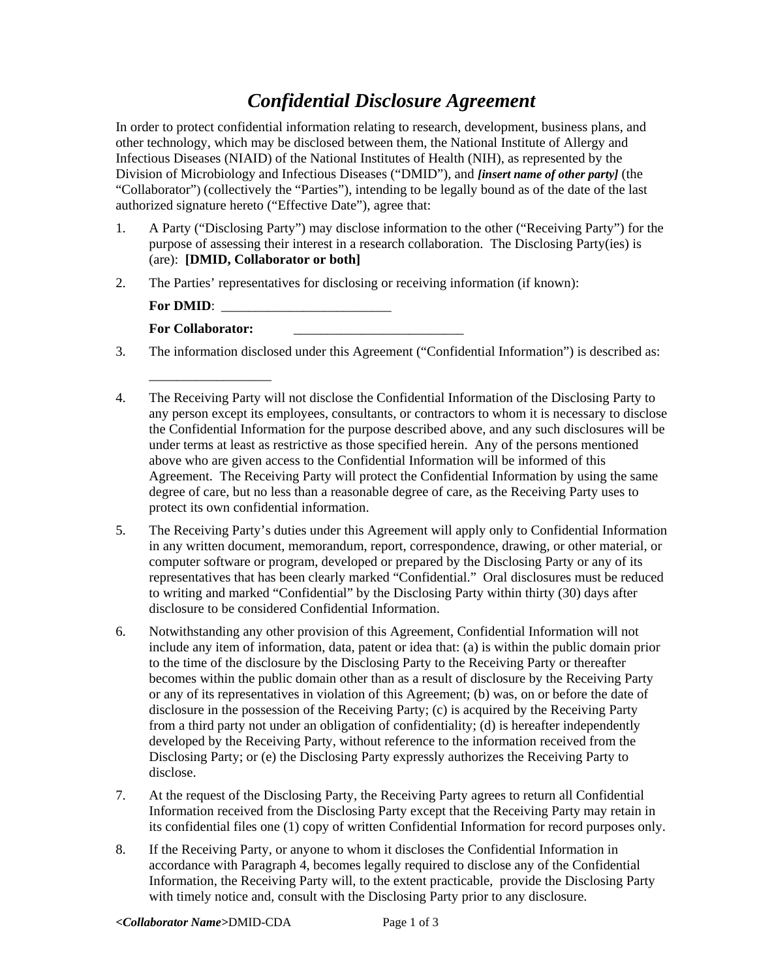## *Confidential Disclosure Agreement*

In order to protect confidential information relating to research, development, business plans, and other technology, which may be disclosed between them, the National Institute of Allergy and Infectious Diseases (NIAID) of the National Institutes of Health (NIH), as represented by the Division of Microbiology and Infectious Diseases ("DMID"), and *[insert name of other party]* (the "Collaborator") (collectively the "Parties"), intending to be legally bound as of the date of the last authorized signature hereto ("Effective Date"), agree that:

- 1. A Party ("Disclosing Party") may disclose information to the other ("Receiving Party") for the purpose of assessing their interest in a research collaboration. The Disclosing Party(ies) is (are): **[DMID, Collaborator or both]**
- 2. The Parties' representatives for disclosing or receiving information (if known):

| <b>For DMID:</b>         |  |
|--------------------------|--|
| <b>For Collaborator:</b> |  |

\_\_\_\_\_\_\_\_\_\_\_\_\_\_\_\_\_\_

- 3. The information disclosed under this Agreement ("Confidential Information") is described as:
- 4. The Receiving Party will not disclose the Confidential Information of the Disclosing Party to any person except its employees, consultants, or contractors to whom it is necessary to disclose the Confidential Information for the purpose described above, and any such disclosures will be under terms at least as restrictive as those specified herein. Any of the persons mentioned above who are given access to the Confidential Information will be informed of this Agreement. The Receiving Party will protect the Confidential Information by using the same degree of care, but no less than a reasonable degree of care, as the Receiving Party uses to protect its own confidential information.
- 5. The Receiving Party's duties under this Agreement will apply only to Confidential Information in any written document, memorandum, report, correspondence, drawing, or other material, or computer software or program, developed or prepared by the Disclosing Party or any of its representatives that has been clearly marked "Confidential." Oral disclosures must be reduced to writing and marked "Confidential" by the Disclosing Party within thirty (30) days after disclosure to be considered Confidential Information.
- 6. Notwithstanding any other provision of this Agreement, Confidential Information will not include any item of information, data, patent or idea that: (a) is within the public domain prior to the time of the disclosure by the Disclosing Party to the Receiving Party or thereafter becomes within the public domain other than as a result of disclosure by the Receiving Party or any of its representatives in violation of this Agreement; (b) was, on or before the date of disclosure in the possession of the Receiving Party; (c) is acquired by the Receiving Party from a third party not under an obligation of confidentiality; (d) is hereafter independently developed by the Receiving Party, without reference to the information received from the Disclosing Party; or (e) the Disclosing Party expressly authorizes the Receiving Party to disclose.
- 7. At the request of the Disclosing Party, the Receiving Party agrees to return all Confidential Information received from the Disclosing Party except that the Receiving Party may retain in its confidential files one (1) copy of written Confidential Information for record purposes only.
- 8. If the Receiving Party, or anyone to whom it discloses the Confidential Information in accordance with Paragraph 4, becomes legally required to disclose any of the Confidential Information, the Receiving Party will, to the extent practicable, provide the Disclosing Party with timely notice and, consult with the Disclosing Party prior to any disclosure.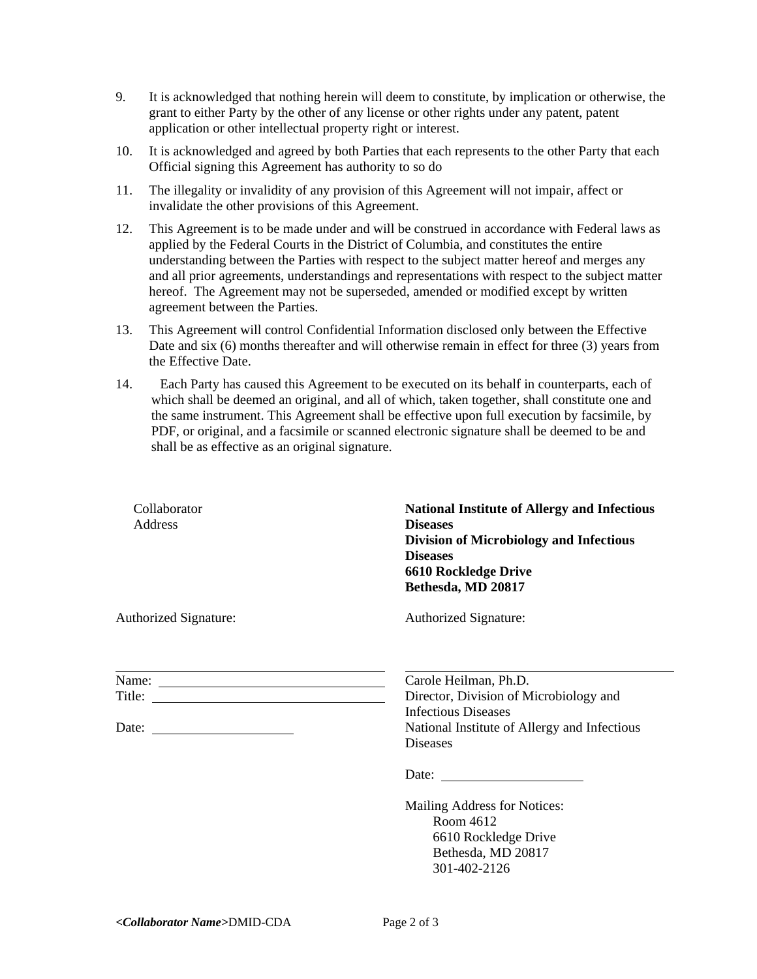- 9. It is acknowledged that nothing herein will deem to constitute, by implication or otherwise, the grant to either Party by the other of any license or other rights under any patent, patent application or other intellectual property right or interest.
- 10. It is acknowledged and agreed by both Parties that each represents to the other Party that each Official signing this Agreement has authority to so do
- 11. The illegality or invalidity of any provision of this Agreement will not impair, affect or invalidate the other provisions of this Agreement.
- 12. This Agreement is to be made under and will be construed in accordance with Federal laws as applied by the Federal Courts in the District of Columbia, and constitutes the entire understanding between the Parties with respect to the subject matter hereof and merges any and all prior agreements, understandings and representations with respect to the subject matter hereof. The Agreement may not be superseded, amended or modified except by written agreement between the Parties.
- 13. This Agreement will control Confidential Information disclosed only between the Effective Date and six (6) months thereafter and will otherwise remain in effect for three (3) years from the Effective Date.
- 14. Each Party has caused this Agreement to be executed on its behalf in counterparts, each of which shall be deemed an original, and all of which, taken together, shall constitute one and the same instrument. This Agreement shall be effective upon full execution by facsimile, by PDF, or original, and a facsimile or scanned electronic signature shall be deemed to be and shall be as effective as an original signature.

| Collaborator<br>Address                                             | <b>National Institute of Allergy and Infectious</b><br><b>Diseases</b><br><b>Division of Microbiology and Infectious</b><br><b>Diseases</b><br>6610 Rockledge Drive<br>Bethesda, MD 20817 |
|---------------------------------------------------------------------|-------------------------------------------------------------------------------------------------------------------------------------------------------------------------------------------|
| Authorized Signature:                                               | Authorized Signature:                                                                                                                                                                     |
| <u> 1989 - Johann Barn, amerikansk politiker (d. 1989)</u><br>Name: | Carole Heilman, Ph.D.<br>Director, Division of Microbiology and<br><b>Infectious Diseases</b><br>National Institute of Allergy and Infectious<br><b>Diseases</b>                          |
|                                                                     | Mailing Address for Notices:<br>Room 4612<br>6610 Rockledge Drive<br>Bethesda, MD 20817<br>301-402-2126                                                                                   |